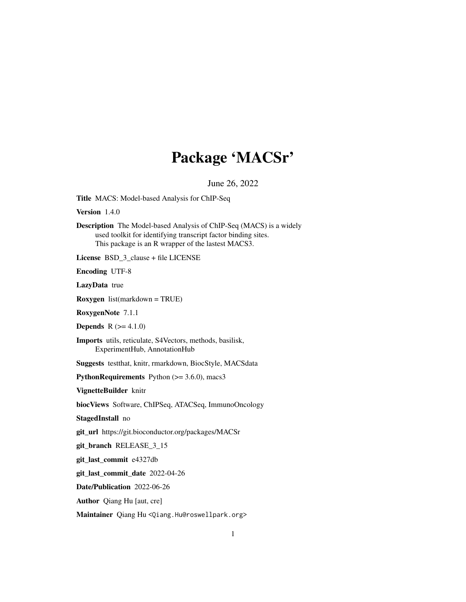# Package 'MACSr'

June 26, 2022

Title MACS: Model-based Analysis for ChIP-Seq

Version 1.4.0

Description The Model-based Analysis of ChIP-Seq (MACS) is a widely used toolkit for identifying transcript factor binding sites. This package is an R wrapper of the lastest MACS3.

License BSD\_3\_clause + file LICENSE

Encoding UTF-8

LazyData true

Roxygen list(markdown = TRUE)

RoxygenNote 7.1.1

**Depends**  $R (= 4.1.0)$ 

Imports utils, reticulate, S4Vectors, methods, basilisk, ExperimentHub, AnnotationHub

Suggests testthat, knitr, rmarkdown, BiocStyle, MACSdata

PythonRequirements Python  $(>= 3.6.0)$ , macs3

VignetteBuilder knitr

biocViews Software, ChIPSeq, ATACSeq, ImmunoOncology

StagedInstall no

git\_url https://git.bioconductor.org/packages/MACSr

git\_branch RELEASE\_3\_15

git\_last\_commit e4327db

git\_last\_commit\_date 2022-04-26

Date/Publication 2022-06-26

Author Qiang Hu [aut, cre]

Maintainer Qiang Hu <Qiang.Hu@roswellpark.org>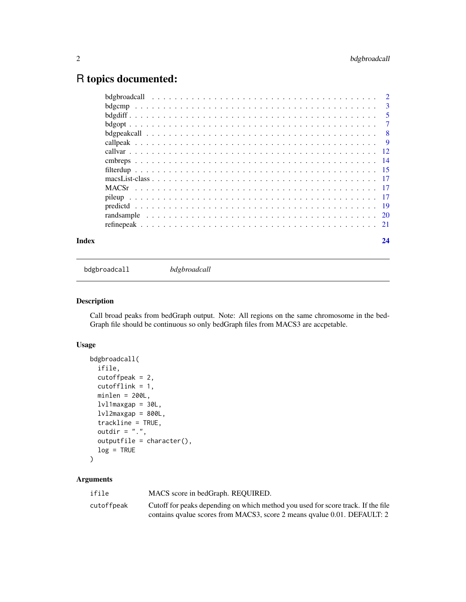# <span id="page-1-0"></span>R topics documented:

bdgbroadcall *bdgbroadcall*

# Description

Call broad peaks from bedGraph output. Note: All regions on the same chromosome in the bed-Graph file should be continuous so only bedGraph files from MACS3 are accpetable.

#### Usage

```
bdgbroadcall(
  ifile,
  cutoffpeak = 2,
 cutofflink = 1,
 minlen = 200L,lvl1maxgap = 30L,
  lv12maxgap = 800L,
  trackline = TRUE,
  outdir = ".".outputfile = character(),
  log = TRUE)
```

| ifile      | MACS score in bedGraph. REQUIRED.                                                |
|------------|----------------------------------------------------------------------------------|
| cutoffpeak | Cutoff for peaks depending on which method you used for score track. If the file |
|            | contains qualue scores from MACS3, score 2 means qualue 0.01. DEFAULT: 2         |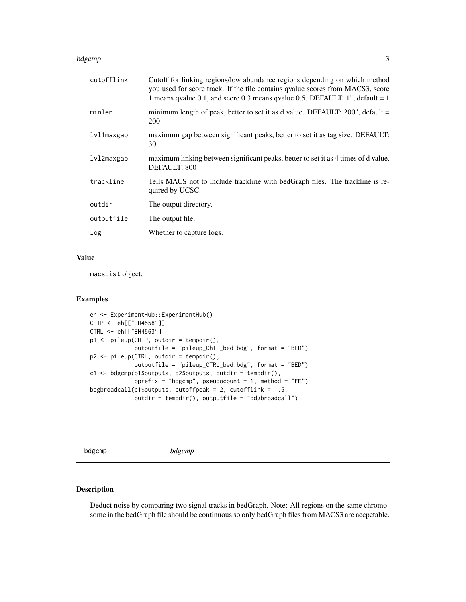#### <span id="page-2-0"></span>bdgcmp 3 and 3 and 3 and 3 and 3 and 3 and 3 and 3 and 3 and 3 and 3 and 3 and 3 and 3 and 3 and 3 and 3 and 3 and 3 and 3 and 3 and 3 and 3 and 3 and 3 and 3 and 3 and 3 and 3 and 3 and 3 and 3 and 3 and 3 and 3 and 3 and

| cutofflink | Cutoff for linking regions/low abundance regions depending on which method<br>you used for score track. If the file contains qualue scores from MACS3, score<br>1 means qvalue 0.1, and score 0.3 means qvalue 0.5. DEFAULT: 1", default = 1 |
|------------|----------------------------------------------------------------------------------------------------------------------------------------------------------------------------------------------------------------------------------------------|
| minlen     | minimum length of peak, better to set it as d value. DEFAULT: 200", default =<br><b>200</b>                                                                                                                                                  |
| lvl1maxgap | maximum gap between significant peaks, better to set it as tag size. DEFAULT:<br>30                                                                                                                                                          |
| lvl2maxgap | maximum linking between significant peaks, better to set it as 4 times of d value.<br>DEFAULT: 800                                                                                                                                           |
| trackline  | Tells MACS not to include trackline with bedGraph files. The trackline is re-<br>quired by UCSC.                                                                                                                                             |
| outdir     | The output directory.                                                                                                                                                                                                                        |
| outputfile | The output file.                                                                                                                                                                                                                             |
| log        | Whether to capture logs.                                                                                                                                                                                                                     |

### Value

macsList object.

#### Examples

```
eh <- ExperimentHub::ExperimentHub()
CHIP <- eh[["EH4558"]]
CTRL <- eh[["EH4563"]]
p1 <- pileup(CHIP, outdir = tempdir(),
             outputfile = "pileup_ChIP_bed.bdg", format = "BED")
p2 <- pileup(CTRL, outdir = tempdir(),
             outputfile = "pileup_CTRL_bed.bdg", format = "BED")
c1 <- bdgcmp(p1$outputs, p2$outputs, outdir = tempdir(),
             oprefix = "bdgcmp", pseudocount = 1, method = "FE")
bdgbroadcall(c1$outputs, cutoffpeak = 2, cutofflink = 1.5,
             outdir = tempdir(), outputfile = "bdgbroadcall")
```
bdgcmp *bdgcmp*

### Description

Deduct noise by comparing two signal tracks in bedGraph. Note: All regions on the same chromosome in the bedGraph file should be continuous so only bedGraph files from MACS3 are accpetable.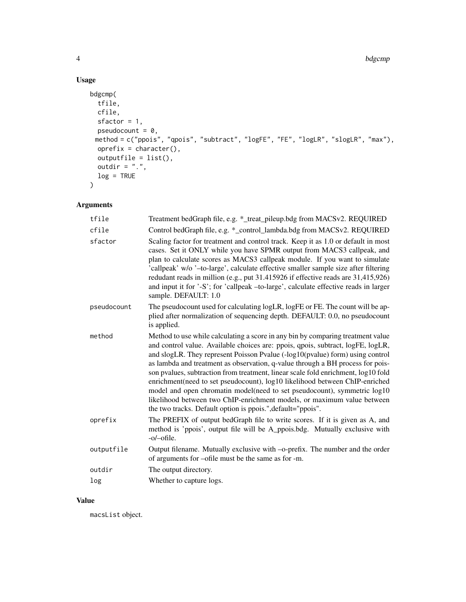# Usage

```
bdgcmp(
 tfile,
  cfile,
  sfactor = 1,pseudocount = 0,
 method = c("ppois", "qpois", "subtract", "logFE", "FE", "logLR", "slogLR", "max"),
  oprefix = character(),
  outputfile = list(),
 outdir = ".".log = TRUE\mathcal{L}
```
# Arguments

| tfile       | Treatment bedGraph file, e.g. *_treat_pileup.bdg from MACSv2. REQUIRED                                                                                                                                                                                                                                                                                                                                                                                                                                                                                                                                                                                                                                                          |
|-------------|---------------------------------------------------------------------------------------------------------------------------------------------------------------------------------------------------------------------------------------------------------------------------------------------------------------------------------------------------------------------------------------------------------------------------------------------------------------------------------------------------------------------------------------------------------------------------------------------------------------------------------------------------------------------------------------------------------------------------------|
| cfile       | Control bedGraph file, e.g. *_control_lambda.bdg from MACSv2. REQUIRED                                                                                                                                                                                                                                                                                                                                                                                                                                                                                                                                                                                                                                                          |
| sfactor     | Scaling factor for treatment and control track. Keep it as 1.0 or default in most<br>cases. Set it ONLY while you have SPMR output from MACS3 callpeak, and<br>plan to calculate scores as MACS3 callpeak module. If you want to simulate<br>'callpeak' w/o '-to-large', calculate effective smaller sample size after filtering<br>redudant reads in million (e.g., put 31.415926 if effective reads are 31,415,926)<br>and input it for '-S'; for 'callpeak -to-large', calculate effective reads in larger<br>sample. DEFAULT: 1.0                                                                                                                                                                                           |
| pseudocount | The pseudocount used for calculating logLR, logFE or FE. The count will be ap-<br>plied after normalization of sequencing depth. DEFAULT: 0.0, no pseudocount<br>is applied.                                                                                                                                                                                                                                                                                                                                                                                                                                                                                                                                                    |
| method      | Method to use while calculating a score in any bin by comparing treatment value<br>and control value. Available choices are: ppois, qpois, subtract, logFE, logLR,<br>and slogLR. They represent Poisson Pvalue (-log10(pvalue) form) using control<br>as lambda and treatment as observation, q-value through a BH process for pois-<br>son pvalues, subtraction from treatment, linear scale fold enrichment, log10 fold<br>enrichment(need to set pseudocount), log10 likelihood between ChIP-enriched<br>model and open chromatin model(need to set pseudocount), symmetric log10<br>likelihood between two ChIP-enrichment models, or maximum value between<br>the two tracks. Default option is ppois.", default="ppois". |
| oprefix     | The PREFIX of output bedGraph file to write scores. If it is given as A, and<br>method is 'ppois', output file will be A_ppois.bdg. Mutually exclusive with<br>$-o$ -ofile.                                                                                                                                                                                                                                                                                                                                                                                                                                                                                                                                                     |
| outputfile  | Output filename. Mutually exclusive with -o-prefix. The number and the order<br>of arguments for -ofile must be the same as for -m.                                                                                                                                                                                                                                                                                                                                                                                                                                                                                                                                                                                             |
| outdir      | The output directory.                                                                                                                                                                                                                                                                                                                                                                                                                                                                                                                                                                                                                                                                                                           |
| log         | Whether to capture logs.                                                                                                                                                                                                                                                                                                                                                                                                                                                                                                                                                                                                                                                                                                        |

### Value

macsList object.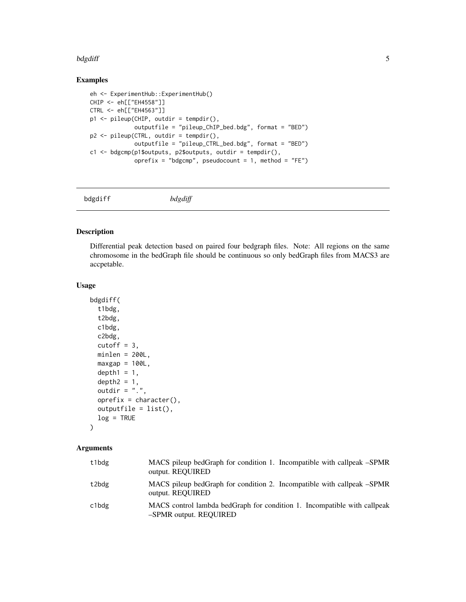#### <span id="page-4-0"></span>bdgdiff 5 to 1999 and 1999 and 1999 and 1999 and 1999 and 1999 and 1999 and 1999 and 1999 and 1999 and 1999 and 199

#### Examples

```
eh <- ExperimentHub::ExperimentHub()
CHIP <- eh[["EH4558"]]
CTRL <- eh[["EH4563"]]
p1 <- pileup(CHIP, outdir = tempdir(),
             outputfile = "pileup_ChIP_bed.bdg", format = "BED")
p2 <- pileup(CTRL, outdir = tempdir(),
             outputfile = "pileup_CTRL_bed.bdg", format = "BED")
c1 <- bdgcmp(p1$outputs, p2$outputs, outdir = tempdir(),
             oprefix = "bdgcmp", pseudocount = 1, method = "FE")
```
bdgdiff *bdgdiff*

#### Description

Differential peak detection based on paired four bedgraph files. Note: All regions on the same chromosome in the bedGraph file should be continuous so only bedGraph files from MACS3 are accpetable.

#### Usage

```
bdgdiff(
  t1bdg,
  t2bdg,
  c1bdg,
  c2bdg,
  cutoff = 3,
 minlen = 200L,maxgap = 100L,depth1 = 1,
  depth2 = 1,
  outdir = ".".oprefix = character(),outputfile = list(),
  log = TRUE)
```

| t1bdg | MACS pileup bedGraph for condition 1. Incompatible with callpeak -SPMR<br>output. REQUIRED         |
|-------|----------------------------------------------------------------------------------------------------|
| t2bdg | MACS pileup bedGraph for condition 2. Incompatible with callpeak –SPMR<br>output. REQUIRED         |
| c1bdg | MACS control lambda bedGraph for condition 1. Incompatible with callpeak<br>-SPMR output. REQUIRED |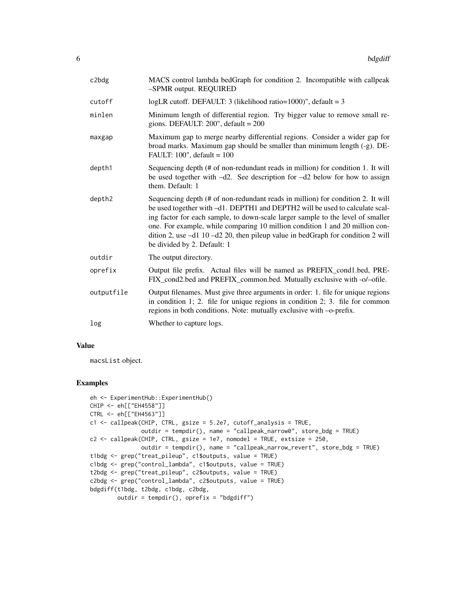| c2bdg      | MACS control lambda bedGraph for condition 2. Incompatible with callpeak<br>-SPMR output. REQUIRED                                                                                                                                                                                                                                                                                                                                                       |
|------------|----------------------------------------------------------------------------------------------------------------------------------------------------------------------------------------------------------------------------------------------------------------------------------------------------------------------------------------------------------------------------------------------------------------------------------------------------------|
| cutoff     | logLR cutoff. DEFAULT: 3 (likelihood ratio= $1000$ )", default = 3                                                                                                                                                                                                                                                                                                                                                                                       |
| minlen     | Minimum length of differential region. Try bigger value to remove small re-<br>gions. DEFAULT: $200$ ", default = $200$                                                                                                                                                                                                                                                                                                                                  |
| maxgap     | Maximum gap to merge nearby differential regions. Consider a wider gap for<br>broad marks. Maximum gap should be smaller than minimum length (-g). DE-<br>FAULT: $100$ ", default = $100$                                                                                                                                                                                                                                                                |
| depth1     | Sequencing depth (# of non-redundant reads in million) for condition 1. It will<br>be used together with $-d2$ . See description for $-d2$ below for how to assign<br>them. Default: 1                                                                                                                                                                                                                                                                   |
| depth2     | Sequencing depth (# of non-redundant reads in million) for condition 2. It will<br>be used together with -d1. DEPTH1 and DEPTH2 will be used to calculate scal-<br>ing factor for each sample, to down-scale larger sample to the level of smaller<br>one. For example, while comparing 10 million condition 1 and 20 million con-<br>dition 2, use $-d1$ 10 $-d2$ 20, then pileup value in bedGraph for condition 2 will<br>be divided by 2. Default: 1 |
| outdir     | The output directory.                                                                                                                                                                                                                                                                                                                                                                                                                                    |
| oprefix    | Output file prefix. Actual files will be named as PREFIX_cond1.bed, PRE-<br>FIX_cond2.bed and PREFIX_common.bed. Mutually exclusive with -o/-ofile.                                                                                                                                                                                                                                                                                                      |
| outputfile | Output filenames. Must give three arguments in order: 1. file for unique regions<br>in condition 1; 2. file for unique regions in condition 2; 3. file for common<br>regions in both conditions. Note: mutually exclusive with -o-prefix.                                                                                                                                                                                                                |
| log        | Whether to capture logs.                                                                                                                                                                                                                                                                                                                                                                                                                                 |

#### Value

macsList object.

#### Examples

```
eh <- ExperimentHub::ExperimentHub()
CHIP <- eh[["EH4558"]]
CTRL <- eh[["EH4563"]]
c1 <- callpeak(CHIP, CTRL, gsize = 5.2e7, cutoff_analysis = TRUE,
              outdir = tempdir(), name = "callpeak_narrow0", store_bdg = TRUE)
c2 <- callpeak(CHIP, CTRL, gsize = 1e7, nomodel = TRUE, extsize = 250,
              outdir = tempdir(), name = "callpeak_narrow_revert", store_bdg = TRUE)
t1bdg <- grep("treat_pileup", c1$outputs, value = TRUE)
c1bdg <- grep("control_lambda", c1$outputs, value = TRUE)
t2bdg <- grep("treat_pileup", c2$outputs, value = TRUE)
c2bdg <- grep("control_lambda", c2$outputs, value = TRUE)
bdgdiff(t1bdg, t2bdg, c1bdg, c2bdg,
       outdir = tempdir(), oprefix = "bdgdiff")
```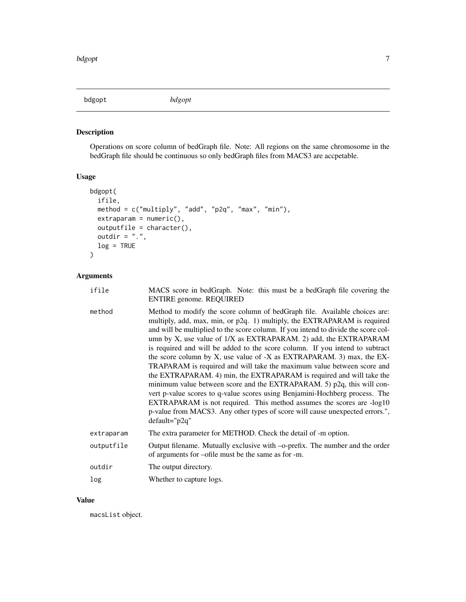<span id="page-6-0"></span>bdgopt *bdgopt*

# Description

Operations on score column of bedGraph file. Note: All regions on the same chromosome in the bedGraph file should be continuous so only bedGraph files from MACS3 are accpetable.

# Usage

```
bdgopt(
 ifile,
 method = c("multiply", "add", "p2q", "max", "min"),
 extremaram = numeric(),
 outputfile = character(),
 outdir = ".",
 log = TRUE
)
```
# Arguments

| ifile      | MACS score in bedGraph. Note: this must be a bedGraph file covering the<br><b>ENTIRE</b> genome. REQUIRED                                                                                                                                                                                                                                                                                                                                                                                                                                                                                                                                                                                                                                                                                                                                                                                                                                                          |
|------------|--------------------------------------------------------------------------------------------------------------------------------------------------------------------------------------------------------------------------------------------------------------------------------------------------------------------------------------------------------------------------------------------------------------------------------------------------------------------------------------------------------------------------------------------------------------------------------------------------------------------------------------------------------------------------------------------------------------------------------------------------------------------------------------------------------------------------------------------------------------------------------------------------------------------------------------------------------------------|
| method     | Method to modify the score column of bedGraph file. Available choices are:<br>multiply, add, max, min, or p2q. 1) multiply, the EXTRAPARAM is required<br>and will be multiplied to the score column. If you intend to divide the score col-<br>umn by X, use value of $1/X$ as EXTRAPARAM. 2) add, the EXTRAPARAM<br>is required and will be added to the score column. If you intend to subtract<br>the score column by X, use value of -X as EXTRAPARAM. 3) max, the EX-<br>TRAPARAM is required and will take the maximum value between score and<br>the EXTRAPARAM. 4) min, the EXTRAPARAM is required and will take the<br>minimum value between score and the EXTRAPARAM. 5) p2q, this will con-<br>vert p-value scores to q-value scores using Benjamini-Hochberg process. The<br>EXTRAPARAM is not required. This method assumes the scores are -log10<br>p-value from MACS3. Any other types of score will cause unexpected errors.",<br>$default="p2q"$ |
| extraparam | The extra parameter for METHOD. Check the detail of -m option.                                                                                                                                                                                                                                                                                                                                                                                                                                                                                                                                                                                                                                                                                                                                                                                                                                                                                                     |
| outputfile | Output filename. Mutually exclusive with -o-prefix. The number and the order<br>of arguments for -ofile must be the same as for -m.                                                                                                                                                                                                                                                                                                                                                                                                                                                                                                                                                                                                                                                                                                                                                                                                                                |
| outdir     | The output directory.                                                                                                                                                                                                                                                                                                                                                                                                                                                                                                                                                                                                                                                                                                                                                                                                                                                                                                                                              |
| log        | Whether to capture logs.                                                                                                                                                                                                                                                                                                                                                                                                                                                                                                                                                                                                                                                                                                                                                                                                                                                                                                                                           |

### Value

macsList object.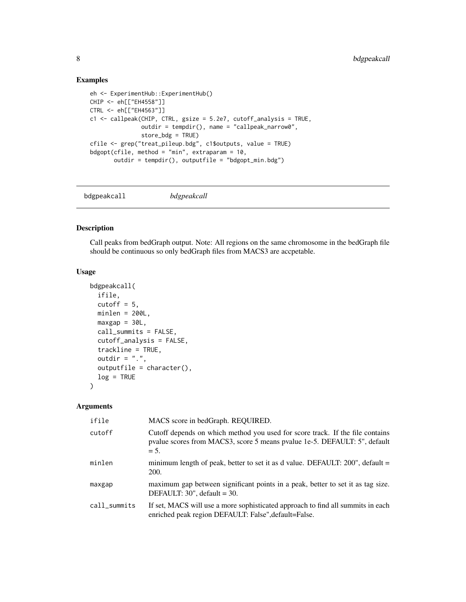#### <span id="page-7-0"></span>Examples

```
eh <- ExperimentHub::ExperimentHub()
CHIP <- eh[["EH4558"]]
CTRL <- eh[["EH4563"]]
c1 <- callpeak(CHIP, CTRL, gsize = 5.2e7, cutoff_analysis = TRUE,
               outdir = tempdir(), name = "callpeak_narrow0",
               store_bdg = TRUE)
cfile <- grep("treat_pileup.bdg", c1$outputs, value = TRUE)
bdgopt(cfile, method = "min", extraparam = 10,
       outdir = tempdir(), outputfile = "bdgopt_min.bdg")
```
bdgpeakcall *bdgpeakcall*

#### Description

Call peaks from bedGraph output. Note: All regions on the same chromosome in the bedGraph file should be continuous so only bedGraph files from MACS3 are accpetable.

#### Usage

```
bdgpeakcall(
  ifile,
  cutoff = 5,
 minlen = 200L,
 maxgap = 30L,call_summits = FALSE,
  cutoff_analysis = FALSE,
  trackline = TRUE,
  outdir = ".".outputfile = character(),
  log = TRUE)
```

| ifile        | MACS score in bedGraph. REQUIRED.                                                                                                                                    |
|--------------|----------------------------------------------------------------------------------------------------------------------------------------------------------------------|
| cutoff       | Cutoff depends on which method you used for score track. If the file contains<br>pvalue scores from MACS3, score 5 means pvalue 1e-5. DEFAULT: 5", default<br>$= 5.$ |
| minlen       | minimum length of peak, better to set it as d value. DEFAULT: 200", default =<br><b>200.</b>                                                                         |
| maxgap       | maximum gap between significant points in a peak, better to set it as tag size.<br>DEFAULT: $30$ ", default = $30$ .                                                 |
| call_summits | If set, MACS will use a more sophisticated approach to find all summits in each<br>enriched peak region DEFAULT: False", default=False.                              |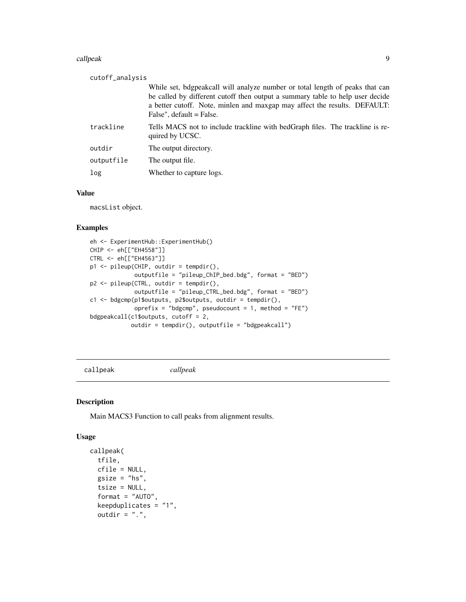#### <span id="page-8-0"></span>callpeak 9

| cutoff_analysis                                                                                                                                                                                                                                                        |
|------------------------------------------------------------------------------------------------------------------------------------------------------------------------------------------------------------------------------------------------------------------------|
| While set, bdgpeakcall will analyze number or total length of peaks that can<br>be called by different cutoff then output a summary table to help user decide<br>a better cutoff. Note, minlen and maxgap may affect the results. DEFAULT:<br>False", default = False. |
| Tells MACS not to include trackline with bedGraph files. The trackline is re-<br>quired by UCSC.                                                                                                                                                                       |
| The output directory.                                                                                                                                                                                                                                                  |
| The output file.                                                                                                                                                                                                                                                       |
| Whether to capture logs.                                                                                                                                                                                                                                               |
|                                                                                                                                                                                                                                                                        |

### Value

macsList object.

#### Examples

```
eh <- ExperimentHub::ExperimentHub()
CHIP <- eh[["EH4558"]]
CTRL <- eh[["EH4563"]]
p1 <- pileup(CHIP, outdir = tempdir(),
             outputfile = "pileup_ChIP_bed.bdg", format = "BED")
p2 <- pileup(CTRL, outdir = tempdir(),
             outputfile = "pileup_CTRL_bed.bdg", format = "BED")
c1 <- bdgcmp(p1$outputs, p2$outputs, outdir = tempdir(),
             oprefix = "bdgcmp", pseudocount = 1, method = "FE")
bdgpeakcall(c1$outputs, cutoff = 2,
            outdir = tempdir(), outputfile = "bdgpeakcall")
```
callpeak *callpeak*

# Description

Main MACS3 Function to call peaks from alignment results.

# Usage

```
callpeak(
  tfile,
  cfile = NULL,
  gsize = "hs",
  tsize = NULL,
  format = "AUTO",
  keepduplicates = "1",
  outdir = ".".
```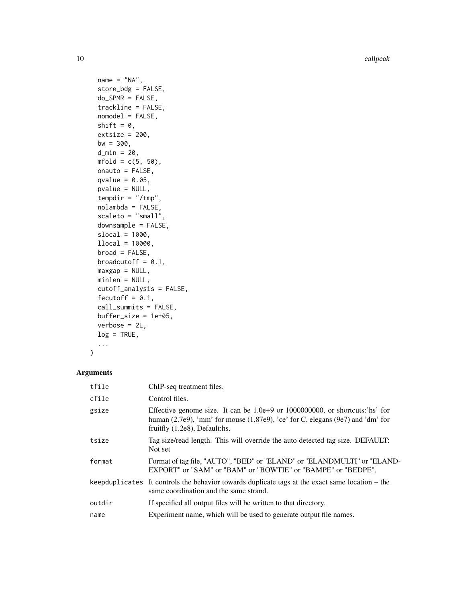10 callpeak

```
name = "NA",store_bdg = FALSE,
do_SPMR = FALSE,
trackline = FALSE,
nomodel = FALSE,
shift = 0,
extsize = 200,bw = 300,
d_{min} = 20,
mfold = c(5, 50),onauto = FALSE,
qvalue = 0.05,
pvalue = NULL,
tempdir = "/{\text{tmp}}",
nolambda = FALSE,
scaleto = "small"downsample = FALSE,
slocal = 1000,llocal = 10000,broad = FALSE,
broadcutoff = 0.1,
maxgap = NULL,minlen = NULL,
cutoff_analysis = FALSE,
fecutoff = 0.1,
call_summits = FALSE,
buffer_size = 1e+05,
verbose = 2L,
log = TRUE,...
```

```
\mathcal{L}
```

| tfile  | ChIP-seq treatment files.                                                                                                                                                                           |
|--------|-----------------------------------------------------------------------------------------------------------------------------------------------------------------------------------------------------|
| cfile  | Control files.                                                                                                                                                                                      |
| gsize  | Effective genome size. It can be 1.0e+9 or 1000000000, or shortcuts: 'hs' for<br>human (2.7e9), 'mm' for mouse (1.87e9), 'ce' for C. elegans (9e7) and 'dm' for<br>fruitfly $(1.2e8)$ , Default:hs. |
| tsize  | Tag size/read length. This will override the auto detected tag size. DEFAULT:<br>Not set                                                                                                            |
| format | Format of tag file, "AUTO", "BED" or "ELAND" or "ELANDMULTI" or "ELAND-<br>EXPORT" or "SAM" or "BAM" or "BOWTIE" or "BAMPE" or "BEDPE".                                                             |
|        | keepduplicates It controls the behavior towards duplicate tags at the exact same location $-$ the<br>same coordination and the same strand.                                                         |
| outdir | If specified all output files will be written to that directory.                                                                                                                                    |
| name   | Experiment name, which will be used to generate output file names.                                                                                                                                  |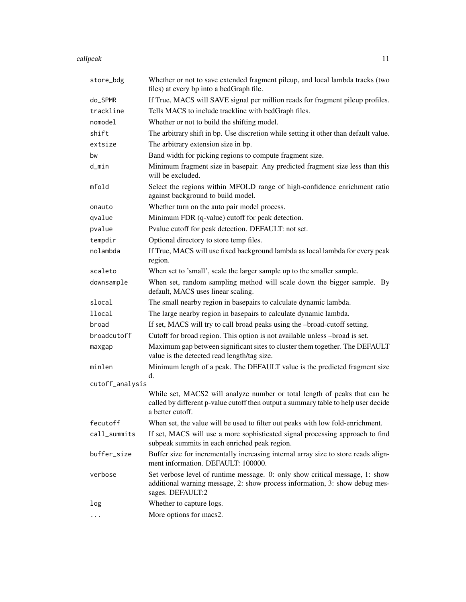#### callpeak the contract of the contract of the contract of the contract of the contract of the contract of the contract of the contract of the contract of the contract of the contract of the contract of the contract of the c

| store_bdg       | Whether or not to save extended fragment pileup, and local lambda tracks (two<br>files) at every bp into a bedGraph file.                                                           |
|-----------------|-------------------------------------------------------------------------------------------------------------------------------------------------------------------------------------|
| do_SPMR         | If True, MACS will SAVE signal per million reads for fragment pileup profiles.                                                                                                      |
| trackline       | Tells MACS to include trackline with bedGraph files.                                                                                                                                |
| nomodel         | Whether or not to build the shifting model.                                                                                                                                         |
| shift           | The arbitrary shift in bp. Use discretion while setting it other than default value.                                                                                                |
| extsize         | The arbitrary extension size in bp.                                                                                                                                                 |
| bw              | Band width for picking regions to compute fragment size.                                                                                                                            |
| d_min           | Minimum fragment size in basepair. Any predicted fragment size less than this<br>will be excluded.                                                                                  |
| mfold           | Select the regions within MFOLD range of high-confidence enrichment ratio<br>against background to build model.                                                                     |
| onauto          | Whether turn on the auto pair model process.                                                                                                                                        |
| qvalue          | Minimum FDR (q-value) cutoff for peak detection.                                                                                                                                    |
| pvalue          | Pvalue cutoff for peak detection. DEFAULT: not set.                                                                                                                                 |
| tempdir         | Optional directory to store temp files.                                                                                                                                             |
| nolambda        | If True, MACS will use fixed background lambda as local lambda for every peak<br>region.                                                                                            |
| scaleto         | When set to 'small', scale the larger sample up to the smaller sample.                                                                                                              |
| downsample      | When set, random sampling method will scale down the bigger sample. By<br>default, MACS uses linear scaling.                                                                        |
| slocal          | The small nearby region in basepairs to calculate dynamic lambda.                                                                                                                   |
| llocal          | The large nearby region in basepairs to calculate dynamic lambda.                                                                                                                   |
| broad           | If set, MACS will try to call broad peaks using the -broad-cutoff setting.                                                                                                          |
| broadcutoff     | Cutoff for broad region. This option is not available unless -broad is set.                                                                                                         |
| maxgap          | Maximum gap between significant sites to cluster them together. The DEFAULT<br>value is the detected read length/tag size.                                                          |
| minlen          | Minimum length of a peak. The DEFAULT value is the predicted fragment size<br>d.                                                                                                    |
| cutoff_analysis |                                                                                                                                                                                     |
|                 | While set, MACS2 will analyze number or total length of peaks that can be<br>called by different p-value cutoff then output a summary table to help user decide<br>a better cutoff. |
| fecutoff        | When set, the value will be used to filter out peaks with low fold-enrichment.                                                                                                      |
| call_summits    | If set, MACS will use a more sophisticated signal processing approach to find<br>subpeak summits in each enriched peak region.                                                      |
| buffer_size     | Buffer size for incrementally increasing internal array size to store reads align-<br>ment information. DEFAULT: 100000.                                                            |
| verbose         | Set verbose level of runtime message. 0: only show critical message, 1: show<br>additional warning message, 2: show process information, 3: show debug mes-<br>sages. DEFAULT:2     |
| log             | Whether to capture logs.                                                                                                                                                            |
|                 | More options for macs2.                                                                                                                                                             |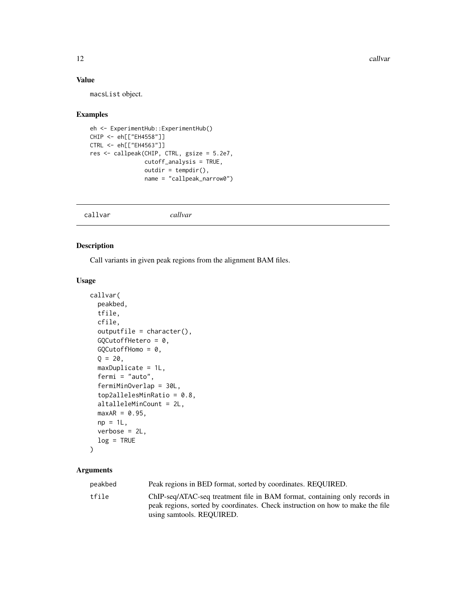<span id="page-11-0"></span>12 callvar

# Value

macsList object.

#### Examples

```
eh <- ExperimentHub::ExperimentHub()
CHIP <- eh[["EH4558"]]
CTRL <- eh[["EH4563"]]
res <- callpeak(CHIP, CTRL, gsize = 5.2e7,
                cutoff_analysis = TRUE,
                outdir = tempdir(),name = "callpeak_narrow0")
```

|--|

# Description

Call variants in given peak regions from the alignment BAM files.

#### Usage

```
callvar(
  peakbed,
  tfile,
  cfile,
  outputfile = character(),GQCutoffHetero = 0,
  GQCutoffHomo = 0,Q = 20,
 maxDuplicate = 1L,
  fermi = "auto",
  fermiMinOverlap = 30L,
  top2allelesMinRatio = 0.8,
  altalleleMinCount = 2L,
  maxAR = 0.95,
 np = 1L,
  verbose = 2L,
  log = TRUE)
```

| peakbed | Peak regions in BED format, sorted by coordinates. REQUIRED.                                                                                                                              |
|---------|-------------------------------------------------------------------------------------------------------------------------------------------------------------------------------------------|
| tfile   | ChIP-seq/ATAC-seq treatment file in BAM format, containing only records in<br>peak regions, sorted by coordinates. Check instruction on how to make the file<br>using samtools. REQUIRED. |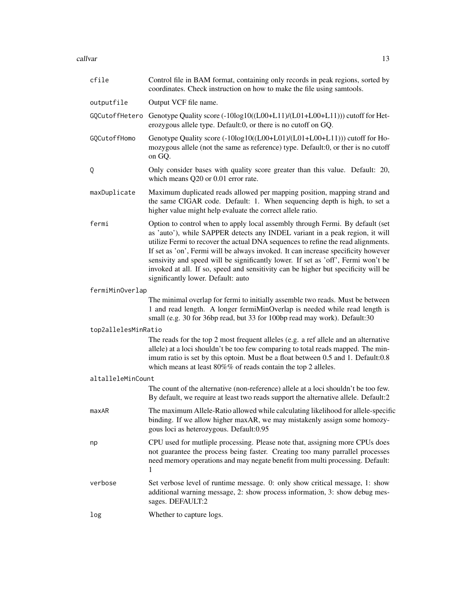callvar the contract of the contract of the contract of the contract of the contract of the contract of the contract of the contract of the contract of the contract of the contract of the contract of the contract of the co

| cfile               | Control file in BAM format, containing only records in peak regions, sorted by<br>coordinates. Check instruction on how to make the file using samtools.                                                                                                                                                                                                                                                                                                                                                                                               |
|---------------------|--------------------------------------------------------------------------------------------------------------------------------------------------------------------------------------------------------------------------------------------------------------------------------------------------------------------------------------------------------------------------------------------------------------------------------------------------------------------------------------------------------------------------------------------------------|
| outputfile          | Output VCF file name.                                                                                                                                                                                                                                                                                                                                                                                                                                                                                                                                  |
|                     | GQCutoffHetero Genotype Quality score (-10log10((L00+L11)/(L01+L00+L11))) cutoff for Het-<br>erozygous allele type. Default:0, or there is no cutoff on GQ.                                                                                                                                                                                                                                                                                                                                                                                            |
| GQCutoffHomo        | Genotype Quality score (-10log10((L00+L01)/(L01+L00+L11))) cutoff for Ho-<br>mozygous allele (not the same as reference) type. Default:0, or ther is no cutoff<br>on GQ.                                                                                                                                                                                                                                                                                                                                                                               |
| Q                   | Only consider bases with quality score greater than this value. Default: 20,<br>which means Q20 or 0.01 error rate.                                                                                                                                                                                                                                                                                                                                                                                                                                    |
| maxDuplicate        | Maximum duplicated reads allowed per mapping position, mapping strand and<br>the same CIGAR code. Default: 1. When sequencing depth is high, to set a<br>higher value might help evaluate the correct allele ratio.                                                                                                                                                                                                                                                                                                                                    |
| fermi               | Option to control when to apply local assembly through Fermi. By default (set<br>as 'auto'), while SAPPER detects any INDEL variant in a peak region, it will<br>utilize Fermi to recover the actual DNA sequences to refine the read alignments.<br>If set as 'on', Fermi will be always invoked. It can increase specificity however<br>sensivity and speed will be significantly lower. If set as 'off', Fermi won't be<br>invoked at all. If so, speed and sensitivity can be higher but specificity will be<br>significantly lower. Default: auto |
| fermiMinOverlap     |                                                                                                                                                                                                                                                                                                                                                                                                                                                                                                                                                        |
|                     | The minimal overlap for fermi to initially assemble two reads. Must be between<br>1 and read length. A longer fermiMinOverlap is needed while read length is<br>small (e.g. 30 for 36bp read, but 33 for 100bp read may work). Default:30                                                                                                                                                                                                                                                                                                              |
| top2allelesMinRatio |                                                                                                                                                                                                                                                                                                                                                                                                                                                                                                                                                        |
|                     | The reads for the top 2 most frequent alleles (e.g. a ref allele and an alternative<br>allele) at a loci shouldn't be too few comparing to total reads mapped. The min-<br>imum ratio is set by this optoin. Must be a float between 0.5 and 1. Default:0.8<br>which means at least $80\%$ % of reads contain the top 2 alleles.                                                                                                                                                                                                                       |
| altalleleMinCount   |                                                                                                                                                                                                                                                                                                                                                                                                                                                                                                                                                        |
|                     | The count of the alternative (non-reference) allele at a loci shouldn't be too few.<br>By default, we require at least two reads support the alternative allele. Default:2                                                                                                                                                                                                                                                                                                                                                                             |
| maxAR               | The maximum Allele-Ratio allowed while calculating likelihood for allele-specific<br>binding. If we allow higher maxAR, we may mistakenly assign some homozy-<br>gous loci as heterozygous. Default:0.95                                                                                                                                                                                                                                                                                                                                               |
| np                  | CPU used for mutliple processing. Please note that, assigning more CPUs does<br>not guarantee the process being faster. Creating too many parrallel processes<br>need memory operations and may negate benefit from multi processing. Default:<br>1                                                                                                                                                                                                                                                                                                    |
| verbose             | Set verbose level of runtime message. 0: only show critical message, 1: show<br>additional warning message, 2: show process information, 3: show debug mes-<br>sages. DEFAULT:2                                                                                                                                                                                                                                                                                                                                                                        |
| log                 | Whether to capture logs.                                                                                                                                                                                                                                                                                                                                                                                                                                                                                                                               |
|                     |                                                                                                                                                                                                                                                                                                                                                                                                                                                                                                                                                        |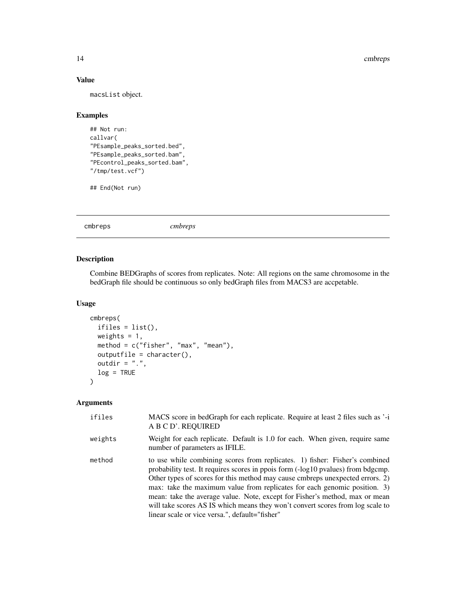#### 14 cmbreps

# Value

macsList object.

# Examples

```
## Not run:
callvar(
"PEsample_peaks_sorted.bed",
"PEsample_peaks_sorted.bam",
"PEcontrol_peaks_sorted.bam",
"/tmp/test.vcf")
```
## End(Not run)

cmbreps *cmbreps*

# Description

Combine BEDGraphs of scores from replicates. Note: All regions on the same chromosome in the bedGraph file should be continuous so only bedGraph files from MACS3 are accpetable.

# Usage

```
cmbreps(
 ifiles = list(),
 weights = 1,
 method = c("fisher", "max", "mean"),
 outputfile = character(),
 outdir = ".".log = TRUE)
```

| ifiles  | MACS score in bedGraph for each replicate. Require at least 2 files such as '-i<br>A B C D'. REQUIRED                                                                                                                                                                                                                                                                                                                                                                                                                                            |
|---------|--------------------------------------------------------------------------------------------------------------------------------------------------------------------------------------------------------------------------------------------------------------------------------------------------------------------------------------------------------------------------------------------------------------------------------------------------------------------------------------------------------------------------------------------------|
| weights | Weight for each replicate. Default is 1.0 for each. When given, require same<br>number of parameters as IFILE.                                                                                                                                                                                                                                                                                                                                                                                                                                   |
| method  | to use while combining scores from replicates. 1) fisher: Fisher's combined<br>probability test. It requires scores in ppois form (-log10 pvalues) from bdgcmp.<br>Other types of scores for this method may cause embreps unexpected errors. 2)<br>max: take the maximum value from replicates for each genomic position. 3)<br>mean: take the average value. Note, except for Fisher's method, max or mean<br>will take scores AS IS which means they won't convert scores from log scale to<br>linear scale or vice versa.", default="fisher" |

<span id="page-13-0"></span>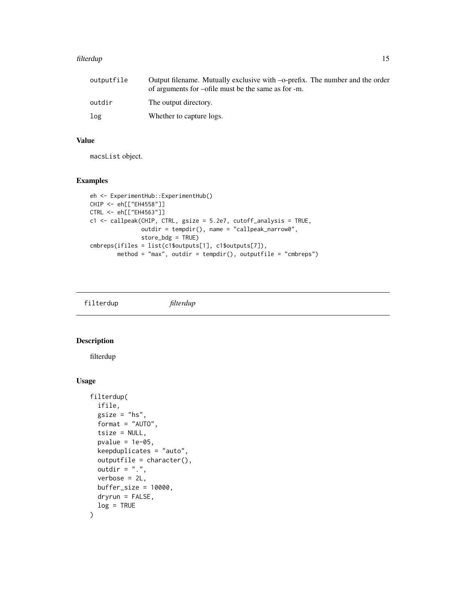#### <span id="page-14-0"></span>filterdup that the contract of the contract of the contract of the contract of the contract of the contract of the contract of the contract of the contract of the contract of the contract of the contract of the contract of

| outputfile | Output filename. Mutually exclusive with -o-prefix. The number and the order<br>of arguments for -ofile must be the same as for -m. |
|------------|-------------------------------------------------------------------------------------------------------------------------------------|
| outdir     | The output directory.                                                                                                               |
| log        | Whether to capture logs.                                                                                                            |

#### Value

macsList object.

### Examples

```
eh <- ExperimentHub::ExperimentHub()
CHIP <- eh[["EH4558"]]
CTRL <- eh[["EH4563"]]
c1 <- callpeak(CHIP, CTRL, gsize = 5.2e7, cutoff_analysis = TRUE,
               outdir = tempdir(), name = "callpeak_narrow0",
               store_bdg = TRUE)
cmbreps(ifiles = list(c1$outputs[1], c1$outputs[7]),
       method = "max", outdir = tempdir(), outputfile = "cmbreps")
```
filterdup *filterdup*

#### Description

filterdup

#### Usage

```
filterdup(
  ifile,
  gsize = "hs",format = "AUTO",
  tsize = NULL,
 pvalue = 1e-05,
  keepduplicates = "auto",
  outputfile = character(),
 outdir = ".',
  verbose = 2L,
 buffer\_size = 10000,dryrun = FALSE,
  log = TRUE
)
```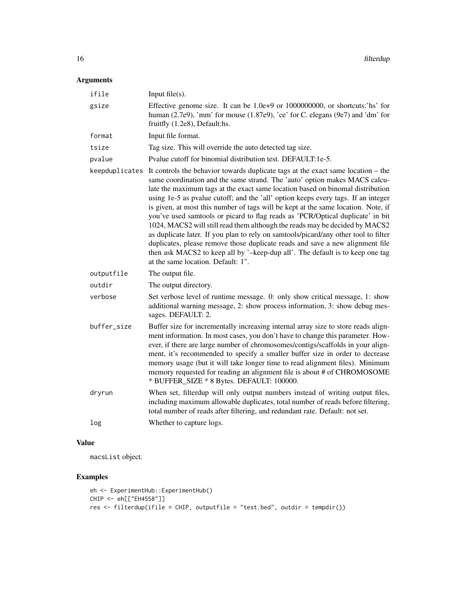# Arguments

| ifile          | Input $file(s)$ .                                                                                                                                                                                                                                                                                                                                                                                                                                                                                                                                                                                                                                                                                                                                                                                                                                                                          |
|----------------|--------------------------------------------------------------------------------------------------------------------------------------------------------------------------------------------------------------------------------------------------------------------------------------------------------------------------------------------------------------------------------------------------------------------------------------------------------------------------------------------------------------------------------------------------------------------------------------------------------------------------------------------------------------------------------------------------------------------------------------------------------------------------------------------------------------------------------------------------------------------------------------------|
| gsize          | Effective genome size. It can be 1.0e+9 or 1000000000, or shortcuts:'hs' for<br>human $(2.7e9)$ , 'mm' for mouse $(1.87e9)$ , 'ce' for C. elegans $(9e7)$ and 'dm' for<br>fruitfly (1.2e8), Default:hs.                                                                                                                                                                                                                                                                                                                                                                                                                                                                                                                                                                                                                                                                                    |
| format         | Input file format.                                                                                                                                                                                                                                                                                                                                                                                                                                                                                                                                                                                                                                                                                                                                                                                                                                                                         |
| tsize          | Tag size. This will override the auto detected tag size.                                                                                                                                                                                                                                                                                                                                                                                                                                                                                                                                                                                                                                                                                                                                                                                                                                   |
| pvalue         | Pvalue cutoff for binomial distribution test. DEFAULT:1e-5.                                                                                                                                                                                                                                                                                                                                                                                                                                                                                                                                                                                                                                                                                                                                                                                                                                |
| keepduplicates | It controls the behavior towards duplicate tags at the exact same location – the<br>same coordination and the same strand. The 'auto' option makes MACS calcu-<br>late the maximum tags at the exact same location based on binomal distribution<br>using 1e-5 as pvalue cutoff; and the 'all' option keeps every tags. If an integer<br>is given, at most this number of tags will be kept at the same location. Note, if<br>you've used samtools or picard to flag reads as 'PCR/Optical duplicate' in bit<br>1024, MACS2 will still read them although the reads may be decided by MACS2<br>as duplicate later. If you plan to rely on samtools/picard/any other tool to filter<br>duplicates, please remove those duplicate reads and save a new alignment file<br>then ask MACS2 to keep all by '-keep-dup all'. The default is to keep one tag<br>at the same location. Default: 1". |
| outputfile     | The output file.                                                                                                                                                                                                                                                                                                                                                                                                                                                                                                                                                                                                                                                                                                                                                                                                                                                                           |
| outdir         | The output directory.                                                                                                                                                                                                                                                                                                                                                                                                                                                                                                                                                                                                                                                                                                                                                                                                                                                                      |
| verbose        | Set verbose level of runtime message. 0: only show critical message, 1: show<br>additional warning message, 2: show process information, 3: show debug mes-<br>sages. DEFAULT: 2.                                                                                                                                                                                                                                                                                                                                                                                                                                                                                                                                                                                                                                                                                                          |
| buffer_size    | Buffer size for incrementally increasing internal array size to store reads align-<br>ment information. In most cases, you don't have to change this parameter. How-<br>ever, if there are large number of chromosomes/contigs/scaffolds in your align-<br>ment, it's recommended to specify a smaller buffer size in order to decrease<br>memory usage (but it will take longer time to read alignment files). Minimum<br>memory requested for reading an alignment file is about # of CHROMOSOME<br>* BUFFER_SIZE * 8 Bytes. DEFAULT: 100000.                                                                                                                                                                                                                                                                                                                                            |
| dryrun         | When set, filterdup will only output numbers instead of writing output files,<br>including maximum allowable duplicates, total number of reads before filtering,<br>total number of reads after filtering, and redundant rate. Default: not set.                                                                                                                                                                                                                                                                                                                                                                                                                                                                                                                                                                                                                                           |
| log            | Whether to capture logs.                                                                                                                                                                                                                                                                                                                                                                                                                                                                                                                                                                                                                                                                                                                                                                                                                                                                   |

# Value

macsList object.

# Examples

```
eh <- ExperimentHub::ExperimentHub()
CHIP <- eh[["EH4558"]]
res <- filterdup(ifile = CHIP, outputfile = "test.bed", outdir = tempdir())
```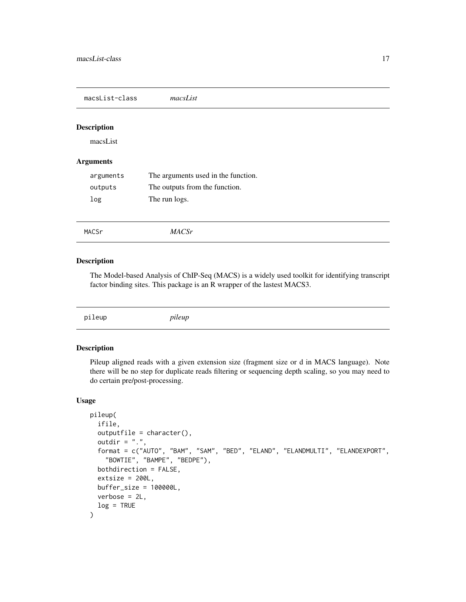<span id="page-16-0"></span>macsList-class *macsList*

#### Description

macsList

#### Arguments

| arguments | The arguments used in the function. |
|-----------|-------------------------------------|
| outputs   | The outputs from the function.      |
| log       | The run logs.                       |

MACSr *MACSr*

#### Description

The Model-based Analysis of ChIP-Seq (MACS) is a widely used toolkit for identifying transcript factor binding sites. This package is an R wrapper of the lastest MACS3.

| pileup | pileup |  |  |  |
|--------|--------|--|--|--|
|--------|--------|--|--|--|

# Description

Pileup aligned reads with a given extension size (fragment size or d in MACS language). Note there will be no step for duplicate reads filtering or sequencing depth scaling, so you may need to do certain pre/post-processing.

#### Usage

```
pileup(
  ifile,
 outputfile = character(),
 outdir = ".".format = c("AUTO", "BAM", "SAM", "BED", "ELAND", "ELANDMULTI", "ELANDEXPORT",
    "BOWTIE", "BAMPE", "BEDPE"),
 bothdirection = FALSE,
 extsize = 200L,buffer_size = 100000L,
 verbose = 2L,
  log = TRUE)
```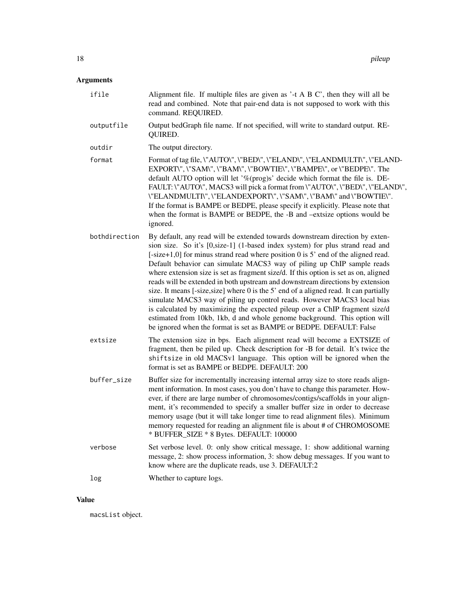# Arguments

| Alignment file. If multiple files are given as '-t A B C', then they will all be<br>read and combined. Note that pair-end data is not supposed to work with this<br>command. REQUIRED.                                                                                                                                                                                                                                                                                                                                                                                                                                                                                                                                                                                                                                                                                                                            |
|-------------------------------------------------------------------------------------------------------------------------------------------------------------------------------------------------------------------------------------------------------------------------------------------------------------------------------------------------------------------------------------------------------------------------------------------------------------------------------------------------------------------------------------------------------------------------------------------------------------------------------------------------------------------------------------------------------------------------------------------------------------------------------------------------------------------------------------------------------------------------------------------------------------------|
| Output bedGraph file name. If not specified, will write to standard output. RE-<br>QUIRED.                                                                                                                                                                                                                                                                                                                                                                                                                                                                                                                                                                                                                                                                                                                                                                                                                        |
| The output directory.                                                                                                                                                                                                                                                                                                                                                                                                                                                                                                                                                                                                                                                                                                                                                                                                                                                                                             |
| Format of tag file, \"AUTO\", \"BED\", \"ELAND\", \"ELANDMULTI\", \"ELAND-<br>EXPORT\", \"SAM\", \"BAM\", \"BOWTIE\", \"BAMPE\", or \"BEDPE\". The<br>default AUTO option will let '%(prog)s' decide which format the file is. DE-<br>FAULT: \"AUTO\", MACS3 will pick a format from \"AUTO\", \"BED\", \"ELAND\",<br>\"ELANDMULTI\", \"ELANDEXPORT\", \"SAM\", \"BAM\" and \"BOWTIE\".<br>If the format is BAMPE or BEDPE, please specify it explicitly. Please note that<br>when the format is BAMPE or BEDPE, the -B and -extsize options would be<br>ignored.                                                                                                                                                                                                                                                                                                                                                 |
| By default, any read will be extended towards downstream direction by exten-<br>sion size. So it's [0, size-1] (1-based index system) for plus strand read and<br>$[-size+1,0]$ for minus strand read where position 0 is 5' end of the aligned read.<br>Default behavior can simulate MACS3 way of piling up ChIP sample reads<br>where extension size is set as fragment size/d. If this option is set as on, aligned<br>reads will be extended in both upstream and downstream directions by extension<br>size. It means [-size, size] where 0 is the 5' end of a aligned read. It can partially<br>simulate MACS3 way of piling up control reads. However MACS3 local bias<br>is calculated by maximizing the expected pileup over a ChIP fragment size/d<br>estimated from 10kb, 1kb, d and whole genome background. This option will<br>be ignored when the format is set as BAMPE or BEDPE. DEFAULT: False |
| The extension size in bps. Each alignment read will become a EXTSIZE of<br>fragment, then be piled up. Check description for -B for detail. It's twice the<br>shiftsize in old MACSv1 language. This option will be ignored when the<br>format is set as BAMPE or BEDPE. DEFAULT: 200                                                                                                                                                                                                                                                                                                                                                                                                                                                                                                                                                                                                                             |
| Buffer size for incrementally increasing internal array size to store reads align-<br>ment information. In most cases, you don't have to change this parameter. How-<br>ever, if there are large number of chromosomes/contigs/scaffolds in your align-<br>ment, it's recommended to specify a smaller buffer size in order to decrease<br>memory usage (but it will take longer time to read alignment files). Minimum<br>memory requested for reading an alignment file is about # of CHROMOSOME<br>* BUFFER_SIZE * 8 Bytes. DEFAULT: 100000                                                                                                                                                                                                                                                                                                                                                                    |
| Set verbose level. 0: only show critical message, 1: show additional warning<br>message, 2: show process information, 3: show debug messages. If you want to<br>know where are the duplicate reads, use 3. DEFAULT:2                                                                                                                                                                                                                                                                                                                                                                                                                                                                                                                                                                                                                                                                                              |
| Whether to capture logs.                                                                                                                                                                                                                                                                                                                                                                                                                                                                                                                                                                                                                                                                                                                                                                                                                                                                                          |
|                                                                                                                                                                                                                                                                                                                                                                                                                                                                                                                                                                                                                                                                                                                                                                                                                                                                                                                   |

# Value

macsList object.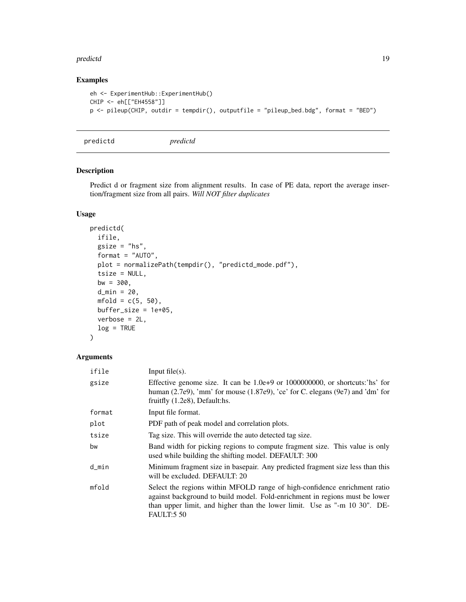#### <span id="page-18-0"></span>predictd the contract of the contract of the contract of the contract of the contract of the contract of the contract of the contract of the contract of the contract of the contract of the contract of the contract of the c

# Examples

```
eh <- ExperimentHub::ExperimentHub()
CHIP <- eh[["EH4558"]]
p <- pileup(CHIP, outdir = tempdir(), outputfile = "pileup_bed.bdg", format = "BED")
```
predictd *predictd*

# Description

Predict d or fragment size from alignment results. In case of PE data, report the average insertion/fragment size from all pairs. *Will NOT filter duplicates*

# Usage

```
predictd(
  ifile,
  gsize = "hs",format = "AUTO",
 plot = normalizePath(tempdir(), "predictd_mode.pdf"),
  tsize = NULL,
 bw = 300,
  d_{min} = 20,
 mfold = c(5, 50),buffer_size = 1e+05,
 verbose = 2L,
  log = TRUE)
```

| ifile  | Input $file(s)$ .                                                                                                                                                                                                                                          |
|--------|------------------------------------------------------------------------------------------------------------------------------------------------------------------------------------------------------------------------------------------------------------|
| gsize  | Effective genome size. It can be $1.0e+9$ or $1000000000$ , or shortcuts: hs' for<br>human (2.7e9), 'mm' for mouse (1.87e9), 'ce' for C. elegans (9e7) and 'dm' for<br>fruitfly $(1.2e8)$ , Default:hs.                                                    |
| format | Input file format.                                                                                                                                                                                                                                         |
| plot   | PDF path of peak model and correlation plots.                                                                                                                                                                                                              |
| tsize  | Tag size. This will override the auto detected tag size.                                                                                                                                                                                                   |
| bw     | Band width for picking regions to compute fragment size. This value is only<br>used while building the shifting model. DEFAULT: 300                                                                                                                        |
| d_min  | Minimum fragment size in basepair. Any predicted fragment size less than this<br>will be excluded. DEFAULT: 20                                                                                                                                             |
| mfold  | Select the regions within MFOLD range of high-confidence enrichment ratio<br>against background to build model. Fold-enrichment in regions must be lower<br>than upper limit, and higher than the lower limit. Use as "-m 10 30". DE-<br><b>FAULT:5 50</b> |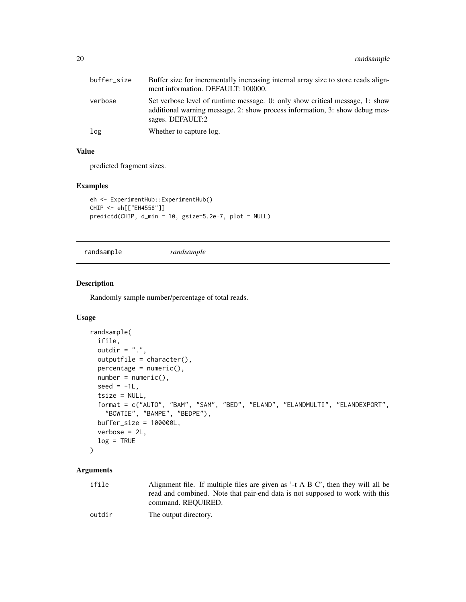<span id="page-19-0"></span>

| buffer_size | Buffer size for incrementally increasing internal array size to store reads align-<br>ment information. DEFAULT: 100000.                                                        |
|-------------|---------------------------------------------------------------------------------------------------------------------------------------------------------------------------------|
| verbose     | Set verbose level of runtime message. 0: only show critical message, 1: show<br>additional warning message, 2: show process information, 3: show debug mes-<br>sages. DEFAULT:2 |
| log         | Whether to capture log.                                                                                                                                                         |

# Value

predicted fragment sizes.

#### Examples

```
eh <- ExperimentHub::ExperimentHub()
CHIP <- eh[["EH4558"]]
predictd(CHIP, d_min = 10, gsize=5.2e+7, plot = NULL)
```
randsample *randsample*

#### Description

Randomly sample number/percentage of total reads.

#### Usage

```
randsample(
  ifile,
 outdir = ".".outputfile = character(),
 percentage = numeric(),number = numeric(),
  seed = -1L,
  tsize = NULL,
  format = c("AUTO", "BAM", "SAM", "BED", "ELAND", "ELANDMULTI", "ELANDEXPORT",
    "BOWTIE", "BAMPE", "BEDPE"),
 buffer_size = 100000L,
 verbose = 2L,
  log = TRUE)
```
# Arguments

ifile Alignment file. If multiple files are given as '-t A B C', then they will all be read and combined. Note that pair-end data is not supposed to work with this command. REQUIRED.

```
outdir The output directory.
```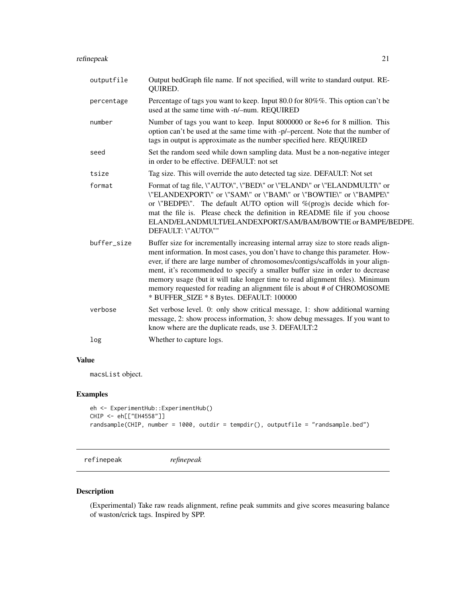# <span id="page-20-0"></span>refinepeak 21

| outputfile  | Output bedGraph file name. If not specified, will write to standard output. RE-<br>QUIRED.                                                                                                                                                                                                                                                                                                                                                                                                                                                     |
|-------------|------------------------------------------------------------------------------------------------------------------------------------------------------------------------------------------------------------------------------------------------------------------------------------------------------------------------------------------------------------------------------------------------------------------------------------------------------------------------------------------------------------------------------------------------|
| percentage  | Percentage of tags you want to keep. Input 80.0 for 80%%. This option can't be<br>used at the same time with -n/-num. REQUIRED                                                                                                                                                                                                                                                                                                                                                                                                                 |
| number      | Number of tags you want to keep. Input 8000000 or 8e+6 for 8 million. This<br>option can't be used at the same time with -p/-percent. Note that the number of<br>tags in output is approximate as the number specified here. REQUIRED                                                                                                                                                                                                                                                                                                          |
| seed        | Set the random seed while down sampling data. Must be a non-negative integer<br>in order to be effective. DEFAULT: not set                                                                                                                                                                                                                                                                                                                                                                                                                     |
| tsize       | Tag size. This will override the auto detected tag size. DEFAULT: Not set                                                                                                                                                                                                                                                                                                                                                                                                                                                                      |
| format      | Format of tag file, \"AUTO\", \"BED\" or \"ELAND\" or \"ELANDMULTI\" or<br>\"ELANDEXPORT\" or \"SAM\" or \"BAM\" or \"BOWTIE\" or \"BAMPE\"<br>or \"BEDPE\". The default AUTO option will %(prog)s decide which for-<br>mat the file is. Please check the definition in README file if you choose<br>ELAND/ELANDMULTI/ELANDEXPORT/SAM/BAM/BOWTIE or BAMPE/BEDPE.<br>DEFAULT: \"AUTO\""                                                                                                                                                         |
| buffer size | Buffer size for incrementally increasing internal array size to store reads align-<br>ment information. In most cases, you don't have to change this parameter. How-<br>ever, if there are large number of chromosomes/contigs/scaffolds in your align-<br>ment, it's recommended to specify a smaller buffer size in order to decrease<br>memory usage (but it will take longer time to read alignment files). Minimum<br>memory requested for reading an alignment file is about # of CHROMOSOME<br>* BUFFER_SIZE * 8 Bytes. DEFAULT: 100000 |
| verbose     | Set verbose level. 0: only show critical message, 1: show additional warning<br>message, 2: show process information, 3: show debug messages. If you want to<br>know where are the duplicate reads, use 3. DEFAULT:2                                                                                                                                                                                                                                                                                                                           |
| log         | Whether to capture logs.                                                                                                                                                                                                                                                                                                                                                                                                                                                                                                                       |

# Value

macsList object.

# Examples

```
eh <- ExperimentHub::ExperimentHub()
CHIP <- eh[["EH4558"]]
randsample(CHIP, number = 1000, outdir = tempdir(), outputfile = "randsample.bed")
```
refinepeak *refinepeak*

# Description

(Experimental) Take raw reads alignment, refine peak summits and give scores measuring balance of waston/crick tags. Inspired by SPP.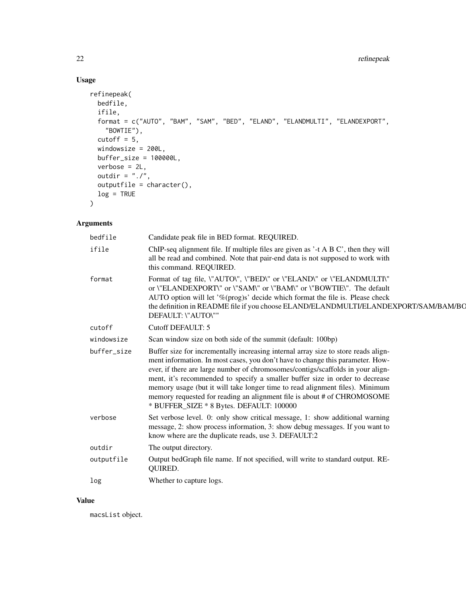# Usage

```
refinepeak(
 bedfile,
  ifile,
 format = c("AUTO", "BAM", "SAM", "BED", "ELAND", "ELANDMULTI", "ELANDEXPORT",
    "BOWTIE"),
 cutoff = 5,windowsize = 200L,
 buffer_size = 100000L,
 verbose = 2L,
 outdir = "./".outputfile = character(),
 log = TRUE\mathcal{L}
```
# Arguments

| bedfile     | Candidate peak file in BED format. REQUIRED.                                                                                                                                                                                                                                                                                                                                                                                                                                                                                                   |
|-------------|------------------------------------------------------------------------------------------------------------------------------------------------------------------------------------------------------------------------------------------------------------------------------------------------------------------------------------------------------------------------------------------------------------------------------------------------------------------------------------------------------------------------------------------------|
| ifile       | ChIP-seq alignment file. If multiple files are given as '-t A B C', then they will<br>all be read and combined. Note that pair-end data is not supposed to work with<br>this command. REQUIRED.                                                                                                                                                                                                                                                                                                                                                |
| format      | Format of tag file, \"AUTO\", \"BED\" or \"ELAND\" or \"ELANDMULTI\"<br>or \"ELANDEXPORT\" or \"SAM\" or \"BAM\" or \"BOWTIE\". The default<br>AUTO option will let '%(prog)s' decide which format the file is. Please check<br>the definition in README file if you choose ELAND/ELANDMULTI/ELANDEXPORT/SAM/BAM/BO<br>DEFAULT: \"AUTO\""                                                                                                                                                                                                      |
| cutoff      | <b>Cutoff DEFAULT: 5</b>                                                                                                                                                                                                                                                                                                                                                                                                                                                                                                                       |
| windowsize  | Scan window size on both side of the summit (default: 100bp)                                                                                                                                                                                                                                                                                                                                                                                                                                                                                   |
| buffer size | Buffer size for incrementally increasing internal array size to store reads align-<br>ment information. In most cases, you don't have to change this parameter. How-<br>ever, if there are large number of chromosomes/contigs/scaffolds in your align-<br>ment, it's recommended to specify a smaller buffer size in order to decrease<br>memory usage (but it will take longer time to read alignment files). Minimum<br>memory requested for reading an alignment file is about # of CHROMOSOME<br>* BUFFER_SIZE * 8 Bytes. DEFAULT: 100000 |
| verbose     | Set verbose level. 0: only show critical message, 1: show additional warning<br>message, 2: show process information, 3: show debug messages. If you want to<br>know where are the duplicate reads, use 3. DEFAULT:2                                                                                                                                                                                                                                                                                                                           |
| outdir      | The output directory.                                                                                                                                                                                                                                                                                                                                                                                                                                                                                                                          |
| outputfile  | Output bedGraph file name. If not specified, will write to standard output. RE-<br>QUIRED.                                                                                                                                                                                                                                                                                                                                                                                                                                                     |
| log         | Whether to capture logs.                                                                                                                                                                                                                                                                                                                                                                                                                                                                                                                       |
|             |                                                                                                                                                                                                                                                                                                                                                                                                                                                                                                                                                |

### Value

macsList object.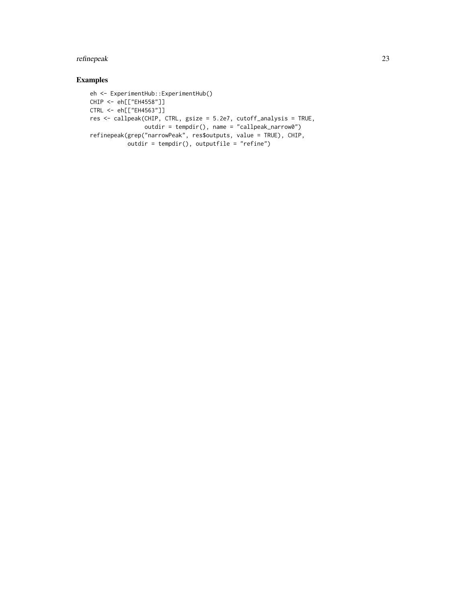# refinepeak 23

# Examples

```
eh <- ExperimentHub::ExperimentHub()
CHIP <- eh[["EH4558"]]
CTRL <- eh[["EH4563"]]
res <- callpeak(CHIP, CTRL, gsize = 5.2e7, cutoff_analysis = TRUE,
               outdir = tempdir(), name = "callpeak_narrow0")
refinepeak(grep("narrowPeak", res$outputs, value = TRUE), CHIP,
          outdir = tempdir(), outputfile = "refine")
```